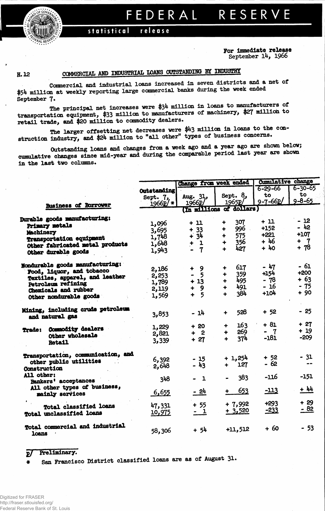## EDERAL RESERVE F

## statistical release

For immediate release September  $14, 1966$ 

H.12

## COMMERCIAL AND INDUSTRIAL LOANS OUTSTANDING BY INDUSTRY

Commercial and industrial loans increased in seven districts and a net of \$54 million at weekly reporting large commercial banks during the week ended September 7.

The principal net increases were \$34 million in loans to manufacturers of transportation equipment, \$33 million to manufacturers of machinery, \$27 million to retail trade, and \$20 million to commodity dealers.

The larger offsetting net decreases were \$43 million in loans to the construction industry, and \$24 million to "all other" types of business concerns.

Outstanding loans and changes from a week ago and a year ago are shown below; cumulative changes since mid-year and during the comparable period last year are shown in the last two columns.

|                                                      |             | Change from week ended      |                             | Cumulative change |               |  |
|------------------------------------------------------|-------------|-----------------------------|-----------------------------|-------------------|---------------|--|
|                                                      | Outstanding |                             |                             | $6 - 29 - 66$     | $6 - 30 - 65$ |  |
|                                                      | Sept. 7,    | Aug. 31,                    | Sept. 8,                    | to                | to            |  |
|                                                      | $1966p$ *   | 1966P/                      | 1965P                       | $9 - 7 - 66p/$    | $9 - 8 - 65$  |  |
| <b>Business of Borrower</b>                          |             |                             | (In millions of dollars)    |                   |               |  |
| <b>Durable goods manufacturing:</b>                  |             |                             | 307<br>٠                    | + 11              | - 12          |  |
| Primary metals                                       | 1,096       | + 11                        | 996 -<br>÷                  | $+152$            | - 42          |  |
| Machinery                                            | 3,695       | $+ 33$                      | 575<br>∔                    | $+221$            | $+107$        |  |
| Transportation equipment                             | 1,748       | $+34$                       | 356<br>┿                    | $+46$             | $+$ 7         |  |
| Other fabricated metal products                      | 1,648       | -1                          | 427<br>4                    | $+40$             | $+ 78$        |  |
| Other durable goods                                  | 1,943       | $\overline{7}$              |                             |                   |               |  |
| Nondurable goods manufacturing:                      |             |                             | 617                         | $-47$             | - 61          |  |
| Food, liquor, and tobacco                            | 2,186       | - 9<br>$+$                  | ÷<br>359<br>$\ddotmark$     | $+154$            | $+200$        |  |
| Textiles, apparel, and leather                       | 2,253       | -5<br>$\bullet$             | 495                         | - 78              | $+63$         |  |
| <b>Petroleum refining</b>                            | 1,789       | $+13$                       | $\ddot{\phantom{1}}$<br>491 | $-16$             | $-75$         |  |
| Chemicals and rubber                                 | 2,119       | 9<br>÷                      | ۰                           | $+104$            | $+90$         |  |
| Other nondurable goods                               | 1,569       | - 5<br>$\ddot{\phantom{1}}$ | 384<br>┿                    |                   |               |  |
| Mining, including crude petroleum<br>and natural gas | 3,853       | - 14                        | 528<br>$\ddot{\phantom{1}}$ | $+52$             | $-25$         |  |
|                                                      | 1,229       | $+20$                       | 163<br>÷                    | $+ 81$            | $+27$         |  |
| <b>Trade: Commodity dealers</b>                      | 2,821       | $+ 2$                       | 269<br>۰                    | $\mathbf{7}$<br>- | $+19$         |  |
| Other wholesale<br><b>Retail</b>                     | 3,339       | $+27$                       | 37 <sup>h</sup><br>÷        | $-181$            | $-209$        |  |
| Transportation, communication, and                   |             |                             | $+1,254$                    | $+ 52$            | $-31$         |  |
| other public utilities                               | 6,392       | $-15$                       | 127                         | $-62$             |               |  |
| Construction                                         | 2,648       | $-43$                       | $+$ $-$                     |                   |               |  |
| All other:<br><b>Bankers' acceptances</b>            | 348         | - 1                         | 383                         | -116              | $-151$        |  |
| All other types of business,<br>mainly services      | 6,655       | - 24                        | 653                         | <u>-113</u>       | + 44          |  |
|                                                      |             |                             |                             |                   | $+29$         |  |
| Total classified loans                               | 47,331      | $+55$                       | $+7,992$                    | $+293$            |               |  |
| Total unclassified loans                             | 10,975      | <u>- 1</u>                  | $+3,520$                    | $-233$            | <u>- 82</u>   |  |
| Total commercial and industrial<br>loans             | 58,306      | $+54$                       | $+11,512$                   | $+60$             | $-53$         |  |

## Preliminary.  $\mathbf{p}$ San Francisco District classified loans are as of August 31.